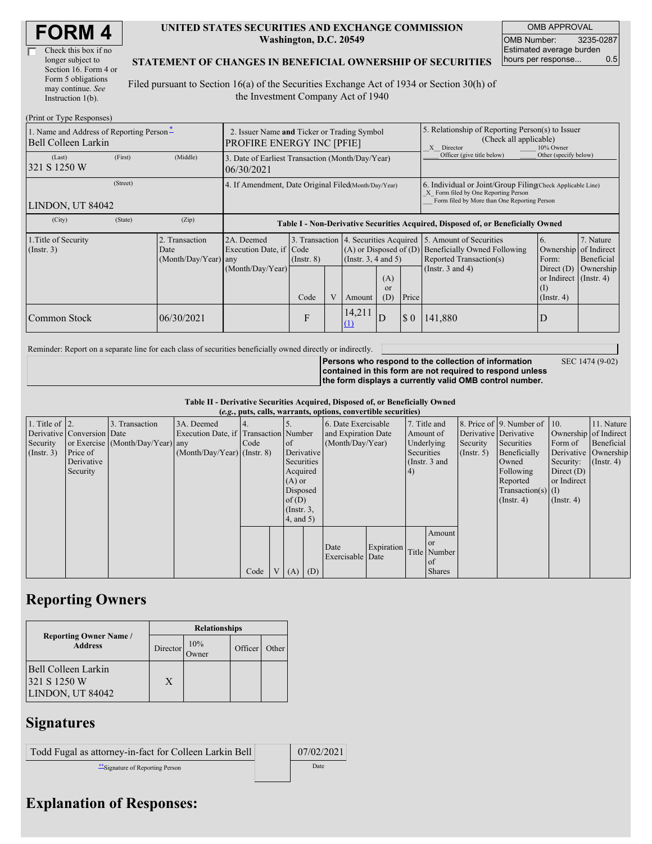| Check this box if no  |
|-----------------------|
| longer subject to     |
| Section 16. Form 4 or |
| Form 5 obligations    |
| may continue. See     |
| Instruction 1(b).     |

#### **UNITED STATES SECURITIES AND EXCHANGE COMMISSION Washington, D.C. 20549**

OMB APPROVAL OMB Number: 3235-0287 Estimated average burden hours per response... 0.5

### **STATEMENT OF CHANGES IN BENEFICIAL OWNERSHIP OF SECURITIES**

Filed pursuant to Section 16(a) of the Securities Exchange Act of 1934 or Section 30(h) of the Investment Company Act of 1940

| (Print or Type Responses)                                       |                                                      |                                                  |                                                                                  |                         |  |                                                                                           |                                                                                                                                                    |          |                                                                                                                                                   |                                                                                                                 |                                      |  |
|-----------------------------------------------------------------|------------------------------------------------------|--------------------------------------------------|----------------------------------------------------------------------------------|-------------------------|--|-------------------------------------------------------------------------------------------|----------------------------------------------------------------------------------------------------------------------------------------------------|----------|---------------------------------------------------------------------------------------------------------------------------------------------------|-----------------------------------------------------------------------------------------------------------------|--------------------------------------|--|
| 1. Name and Address of Reporting Person-<br>Bell Colleen Larkin |                                                      |                                                  | 2. Issuer Name and Ticker or Trading Symbol<br><b>PROFIRE ENERGY INC [PFIE]</b>  |                         |  |                                                                                           |                                                                                                                                                    |          | 5. Relationship of Reporting Person(s) to Issuer<br>(Check all applicable)<br>X Director<br>10% Owner                                             |                                                                                                                 |                                      |  |
| (Last)<br>321 S 1250 W                                          | (First)                                              | (Middle)                                         | 3. Date of Earliest Transaction (Month/Day/Year)<br>06/30/2021                   |                         |  |                                                                                           |                                                                                                                                                    |          | Officer (give title below)                                                                                                                        | Other (specify below)                                                                                           |                                      |  |
| LINDON, UT 84042                                                | 4. If Amendment, Date Original Filed(Month/Day/Year) |                                                  |                                                                                  |                         |  |                                                                                           | 6. Individual or Joint/Group Filing Check Applicable Line)<br>X Form filed by One Reporting Person<br>Form filed by More than One Reporting Person |          |                                                                                                                                                   |                                                                                                                 |                                      |  |
| (City)                                                          | (State)                                              | (Zip)                                            | Table I - Non-Derivative Securities Acquired, Disposed of, or Beneficially Owned |                         |  |                                                                                           |                                                                                                                                                    |          |                                                                                                                                                   |                                                                                                                 |                                      |  |
| 1. Title of Security<br>$($ Instr. 3 $)$                        |                                                      | 2. Transaction<br>Date<br>$(Month/Day/Year)$ any | 2A. Deemed<br>Execution Date, if Code<br>(Month/Day/Year)                        | $($ Instr. $8)$<br>Code |  | $(A)$ or Disposed of $(D)$<br>(Insert. 3, 4 and 5)<br>(A)<br>or<br>(D)<br>Price<br>Amount |                                                                                                                                                    |          | 3. Transaction 4. Securities Acquired 5. Amount of Securities<br>Beneficially Owned Following<br>Reported Transaction(s)<br>(Instr. $3$ and $4$ ) | 6.<br>Ownership of Indirect<br>Form:<br>Direct $(D)$<br>or Indirect $($ Instr. 4 $)$<br>(1)<br>$($ Instr. 4 $)$ | 7. Nature<br>Beneficial<br>Ownership |  |
| Common Stock                                                    |                                                      | 06/30/2021                                       |                                                                                  | F                       |  | 14,211<br>(1)                                                                             | D                                                                                                                                                  | $\Omega$ | 141,880                                                                                                                                           |                                                                                                                 |                                      |  |

Reminder: Report on a separate line for each class of securities beneficially owned directly or indirectly.

SEC 1474 (9-02)

**Persons who respond to the collection of information contained in this form are not required to respond unless the form displays a currently valid OMB control number.**

**Table II - Derivative Securities Acquired, Disposed of, or Beneficially Owned**

| (e.g., puts, calls, warrants, options, convertible securities) |                            |                                  |                                       |      |  |                 |          |                     |            |               |               |                      |                              |                       |                      |
|----------------------------------------------------------------|----------------------------|----------------------------------|---------------------------------------|------|--|-----------------|----------|---------------------|------------|---------------|---------------|----------------------|------------------------------|-----------------------|----------------------|
| 1. Title of $\vert$ 2.                                         |                            | 3. Transaction                   | 3A. Deemed                            |      |  |                 |          | 6. Date Exercisable |            |               | 7. Title and  |                      | 8. Price of 9. Number of 10. |                       | 11. Nature           |
|                                                                | Derivative Conversion Date |                                  | Execution Date, if Transaction Number |      |  |                 |          | and Expiration Date |            | Amount of     |               |                      | Derivative Derivative        | Ownership of Indirect |                      |
| Security                                                       |                            | or Exercise (Month/Day/Year) any |                                       | Code |  | of              |          | (Month/Day/Year)    |            | Underlying    |               | Security             | Securities                   | Form of               | Beneficial           |
| (Insert. 3)                                                    | Price of                   |                                  | $(Month/Day/Year)$ (Instr. 8)         |      |  | Derivative      |          |                     |            | Securities    |               | $($ Instr. 5)        | Beneficially                 |                       | Derivative Ownership |
|                                                                | Derivative                 |                                  |                                       |      |  | Securities      |          |                     |            | (Instr. 3 and |               |                      | Owned                        | Security:             | $($ Instr. 4)        |
|                                                                | Security                   |                                  |                                       |      |  | Acquired        |          |                     |            | (4)           |               |                      | Following                    | Direct $(D)$          |                      |
|                                                                |                            |                                  |                                       |      |  | $(A)$ or        |          |                     |            |               |               |                      | Reported                     | or Indirect           |                      |
|                                                                |                            |                                  |                                       |      |  |                 | Disposed |                     |            |               |               | $Transaction(s)$ (I) |                              |                       |                      |
|                                                                |                            |                                  |                                       |      |  | of(D)           |          |                     |            |               |               |                      | $($ Instr. 4 $)$             | $($ Instr. 4 $)$      |                      |
|                                                                |                            |                                  |                                       |      |  | $($ Instr. $3,$ |          |                     |            |               |               |                      |                              |                       |                      |
|                                                                |                            |                                  |                                       |      |  | $4$ , and $5$ ) |          |                     |            |               |               |                      |                              |                       |                      |
|                                                                |                            |                                  |                                       |      |  |                 |          |                     |            |               | Amount        |                      |                              |                       |                      |
|                                                                |                            |                                  |                                       |      |  |                 |          | Date                | Expiration |               | <sub>or</sub> |                      |                              |                       |                      |
|                                                                |                            |                                  |                                       |      |  |                 |          | Exercisable Date    |            |               | Title Number  |                      |                              |                       |                      |
|                                                                |                            |                                  |                                       |      |  |                 |          |                     |            |               | of            |                      |                              |                       |                      |
|                                                                |                            |                                  |                                       | Code |  | V(A)            | (D)      |                     |            |               | <b>Shares</b> |                      |                              |                       |                      |

# **Reporting Owners**

|                                                         | <b>Relationships</b> |                     |         |       |  |  |  |  |
|---------------------------------------------------------|----------------------|---------------------|---------|-------|--|--|--|--|
| <b>Reporting Owner Name /</b><br><b>Address</b>         | Director             | 10%<br><b>Jwner</b> | Officer | Other |  |  |  |  |
| Bell Colleen Larkin<br>321 S 1250 W<br>LINDON, UT 84042 | X                    |                     |         |       |  |  |  |  |

## **Signatures**

| Todd Fugal as attorney-in-fact for Colleen Larkin Bell | 07/02/2021 |
|--------------------------------------------------------|------------|
| Signature of Reporting Person                          | Date       |

# **Explanation of Responses:**